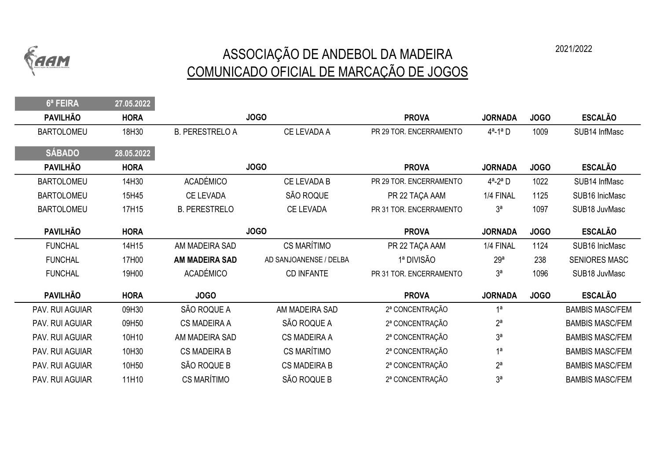

## ASSOCIAÇÃO DE ANDEBOL DA MADEIRA 2021/2022 COMUNICADO OFICIAL DE MARCAÇÃO DE JOGOS

6ª FEIRA 27.05.2022 PAVILHÃO HORA PROVA JORNADA JOGO ESCALÃO BARTOLOMEU 18H30 B. PERESTRELO A CE LEVADA A PR 29 TOR. ENCERRAMENTO 4<sup>a</sup>-1<sup>a</sup> D 1009 SUB14 InfMasc SÁBADO 28.05.2022 PAVILHÃO HORA PROVA JORNADA JOGO ESCALÃO BARTOLOMEU 14H30 ACADÉMICO CE LEVADA B PR 29 TOR. ENCERRAMENTO 4<sup>a</sup>-2<sup>a</sup> D 1022 SUB14 InfMasc BARTOLOMEU 15H45 CE LEVADA SÃO ROQUE PR 22 TAÇA AAM 1/4 FINAL 1125 SUB16 InicMasc BARTOLOMEU 17H15 B. PERESTRELO CE LEVADA PR 31 TOR. ENCERRAMENTO 3<sup>ª</sup> 1097 SUB18 JuvMasc PAVILHÃO HORA PROVA JORNADA JOGO ESCALÃO FUNCHAL 14H15 AM MADEIRA SAD CS MARÍTIMO PR 22 TAÇA AAM 1/4 FINAL 1124 SUB16 InicMasc FUNCHAL 17H00 AM MADEIRA SAD AD SANJOANENSE / DELBA 1ª DIVISÃO 29ª 238 SENIORES MASC FUNCHAL 19H00 ACADÉMICO CD INFANTE PR 31 TOR. ENCERRAMENTO 3<sup>ª</sup> 1096 SUB18 JuvMasc PAVILHÃO HORA JOGO PROVA JORNADA JOGO ESCALÃO PAV. RUI AGUIAR O9H30 SÃO ROQUE A AM MADEIRA SAD 2ª CONCENTRAÇÃO 1ª CON DE BAMBIS MASC/FEM PAV. RUI AGUIAR O9H50 CS MADEIRA A SÃO ROQUE A 2ª CONCENTRAÇÃO 2ª CONCENTRA A BAMBIS MASC/FEM PAV. RUI AGUIAR 10H10 AM MADEIRA SAD CS MADEIRA A <sup>2ª</sup> CONCENTRAÇÃO 3ª CON 3ª BAMBIS MASC/FEM PAV. RUI AGUIAR 10H30 CS MADEIRA B CS MARÍTIMO 2ª CONCENTRAÇÃO 1ª CON DE BAMBIS MASC/FEM PAV. RUI AGUIAR 10H50 SÃO ROQUE B CS MADEIRA B 2ª CONCENTRAÇÃO 2ª CONCENTRA E 2ª BAMBIS MASC/FEM PAV. RUI AGUIAR 11H10 CS MARÍTIMO SÃO ROQUE B 2ª CONCENTRAÇÃO 3ª CON 3º BAMBIS MASC/FEM JOGO JOGO JOGO